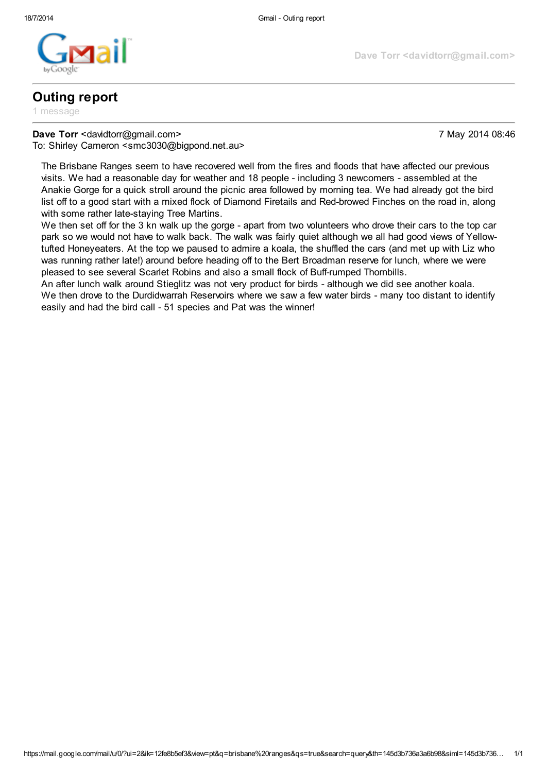

## Outing report

1 message

## Dave Torr <davidtorr@gmail.com> 7 May 2014 08:46

Dave Torr <davidtorr@gmail.com>

To: Shirley Cameron <smc3030@bigpond.net.au>

The Brisbane Ranges seem to have recovered well from the fires and floods that have affected our previous visits. We had a reasonable day for weather and 18 people - including 3 newcomers - assembled at the Anakie Gorge for a quick stroll around the picnic area followed by morning tea. We had already got the bird list off to a good start with a mixed flock of Diamond Firetails and Red-browed Finches on the road in, along with some rather late-staying Tree Martins.

We then set off for the 3 kn walk up the gorge - apart from two volunteers who drove their cars to the top car park so we would not have to walk back. The walk was fairly quiet although we all had good views of Yellowtufted Honeyeaters. At the top we paused to admire a koala, the shuffled the cars (and met up with Liz who was running rather late!) around before heading off to the Bert Broadman reserve for lunch, where we were pleased to see several Scarlet Robins and also a small flock of Buff-rumped Thornbills.

An after lunch walk around Stieglitz was not very product for birds - although we did see another koala. We then drove to the Durdidwarrah Reservoirs where we saw a few water birds - many too distant to identify easily and had the bird call - 51 species and Pat was the winner!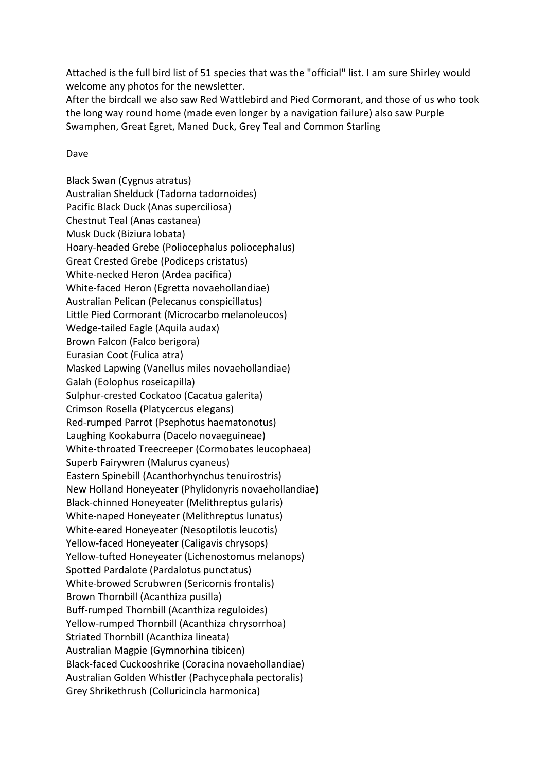Attached is the full bird list of 51 species that was the "official" list. I am sure Shirley would welcome any photos for the newsletter.

After the birdcall we also saw Red Wattlebird and Pied Cormorant, and those of us who took the long way round home (made even longer by a navigation failure) also saw Purple Swamphen, Great Egret, Maned Duck, Grey Teal and Common Starling

## Dave

Black Swan (Cygnus atratus) Australian Shelduck (Tadorna tadornoides) Pacific Black Duck (Anas superciliosa) Chestnut Teal (Anas castanea) Musk Duck (Biziura lobata) Hoary-headed Grebe (Poliocephalus poliocephalus) Great Crested Grebe (Podiceps cristatus) White-necked Heron (Ardea pacifica) White-faced Heron (Egretta novaehollandiae) Australian Pelican (Pelecanus conspicillatus) Little Pied Cormorant (Microcarbo melanoleucos) Wedge-tailed Eagle (Aquila audax) Brown Falcon (Falco berigora) Eurasian Coot (Fulica atra) Masked Lapwing (Vanellus miles novaehollandiae) Galah (Eolophus roseicapilla) Sulphur-crested Cockatoo (Cacatua galerita) Crimson Rosella (Platycercus elegans) Red-rumped Parrot (Psephotus haematonotus) Laughing Kookaburra (Dacelo novaeguineae) White-throated Treecreeper (Cormobates leucophaea) Superb Fairywren (Malurus cyaneus) Eastern Spinebill (Acanthorhynchus tenuirostris) New Holland Honeyeater (Phylidonyris novaehollandiae) Black-chinned Honeyeater (Melithreptus gularis) White-naped Honeyeater (Melithreptus lunatus) White-eared Honeyeater (Nesoptilotis leucotis) Yellow-faced Honeyeater (Caligavis chrysops) Yellow-tufted Honeyeater (Lichenostomus melanops) Spotted Pardalote (Pardalotus punctatus) White-browed Scrubwren (Sericornis frontalis) Brown Thornbill (Acanthiza pusilla) Buff-rumped Thornbill (Acanthiza reguloides) Yellow-rumped Thornbill (Acanthiza chrysorrhoa) Striated Thornbill (Acanthiza lineata) Australian Magpie (Gymnorhina tibicen) Black-faced Cuckooshrike (Coracina novaehollandiae) Australian Golden Whistler (Pachycephala pectoralis) Grey Shrikethrush (Colluricincla harmonica)